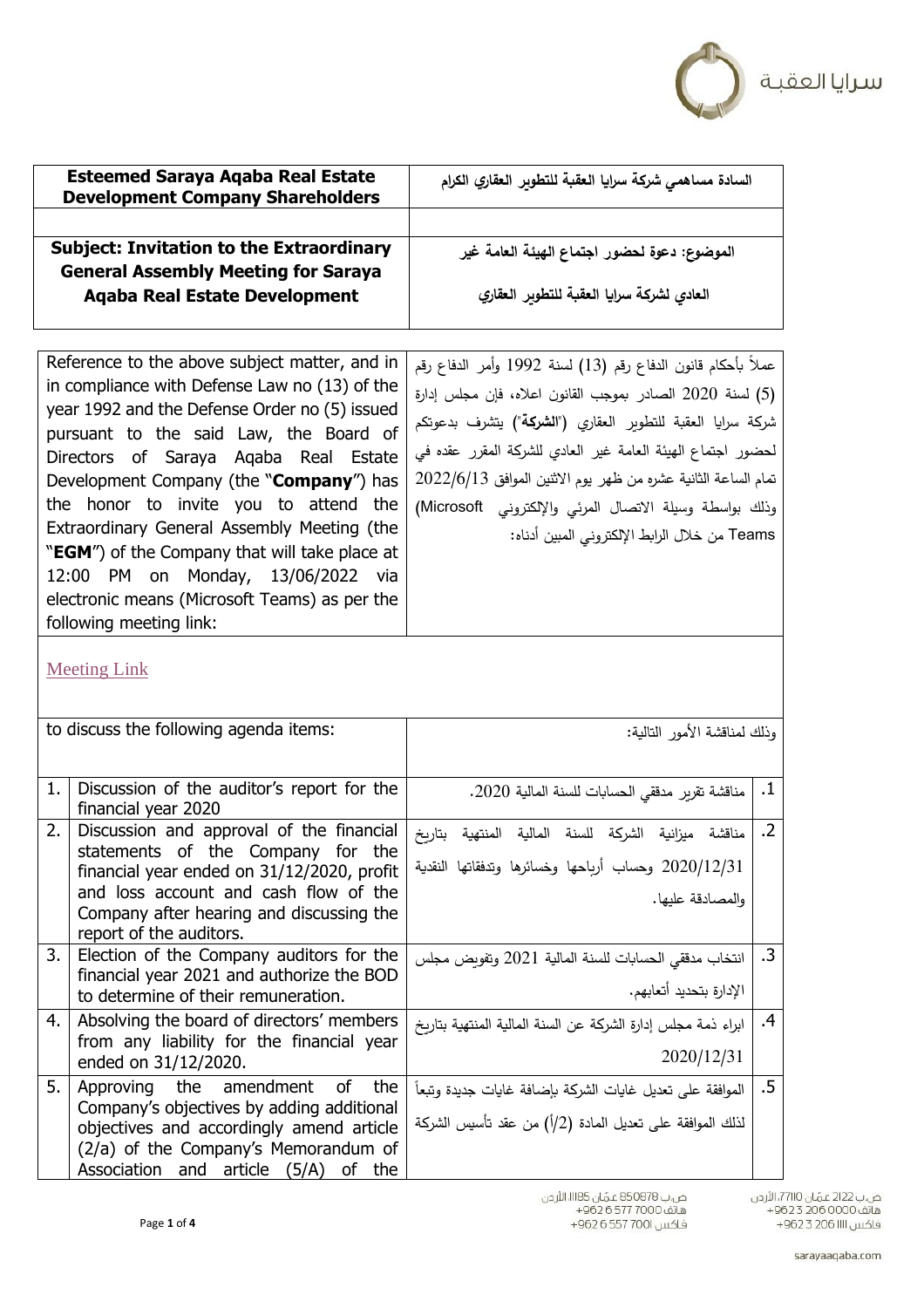

| السادة مساهمي شركة سرايا العقبة للتطوبر العقاري الكرام |
|--------------------------------------------------------|
| الموضوع: دعوة لحضور اجتماع الهيئة العامة غير           |
| العادى لشركة سرايا العقبة للتطوبر العقاري              |
|                                                        |

| عملاً بأحكام قانون الدفاع رقم (13) لسنة 1992 وأمر الدفاع رقم        |
|---------------------------------------------------------------------|
| (5) لسنة 2020 الصادر بموجب القانون اعلاه، فإن مجلس إدارة            |
|                                                                     |
| شركة سرايا العقبة للتطوير العقاري (" <b>الشركة</b> ") يتشرف بدعوتكم |
| لحضور اجتماع الهيئة العامة غير العادي للشركة المقرر عقده في         |
| تمام الساعة الثانية عشره من ظهر يوم الاثنين الموافق 2022/6/13       |
| وذلك بواسطة وسيلة الاتصال المرئي والإلكتروني Microsoft)             |
| Teams من خلال الرابط الإلكتروني المبين أدناه:                       |
|                                                                     |
|                                                                     |
|                                                                     |
|                                                                     |
|                                                                     |

[Meeting Link](https://teams.microsoft.com/l/meetup-join/19%3ameeting_NDYwMjVmNGItZTc4YS00ZjRlLTllODAtY2Y3NjM1MzU5YmJl%40thread.v2/0?context=%7b%22Tid%22%3a%22aa81c228-84ce-40b2-aab2-6f0d41d0b2ff%22%2c%22Oid%22%3a%221bfd40e1-81b1-4fca-a2f3-75c70aec49cf%22%7d)

|    | to discuss the following agenda items:                                          | وذلك لمناقشة الأمور التالية:                                 |            |
|----|---------------------------------------------------------------------------------|--------------------------------------------------------------|------------|
|    |                                                                                 |                                                              |            |
| 1. | Discussion of the auditor's report for the                                      | مناقشة تقرير مدققى الحسابات للسنة المالية 2020.              | $\cdot$ 1  |
|    | financial year 2020                                                             |                                                              |            |
| 2. | Discussion and approval of the financial                                        | مناقشة ميزانية الشركة للسنة المالية المنتهية بتاربخ          | $\cdot$ .2 |
|    | statements of the Company for the<br>financial year ended on 31/12/2020, profit | 2020/12/31 وحساب أرباحها وخسائرها وتدفقاتها النقدية          |            |
|    | and loss account and cash flow of the                                           | والمصادقة عليها.                                             |            |
|    | Company after hearing and discussing the                                        |                                                              |            |
|    | report of the auditors.                                                         |                                                              |            |
| 3. | Election of the Company auditors for the                                        | انتخاب مدققى الحسابات للسنة المالية 2021 وتفويض مجلس         | $\cdot$ 3  |
|    | financial year 2021 and authorize the BOD                                       | الإدارة بتحديد أتعابهم.                                      |            |
|    | to determine of their remuneration.                                             |                                                              |            |
| 4. | Absolving the board of directors' members                                       | ابراء ذمة مجلس إدارة الشركة عن السنة المالية المنتهية بتاريخ | $\cdot$    |
|    | from any liability for the financial year<br>ended on 31/12/2020.               | 2020/12/31                                                   |            |
|    |                                                                                 |                                                              |            |
| 5. | Approving the amendment of<br>the<br>Company's objectives by adding additional  | الموافقة على تعديل غايات الشركة بإضافة غايات جديدة وتبعاً    | $.5\,$     |
|    | objectives and accordingly amend article                                        | لذلك الموافقة على تعديل المادة (2/أ) من عقد تأسيس الشركة     |            |
|    | (2/a) of the Company's Memorandum of                                            |                                                              |            |
|    | Association and<br>article $(5/A)$<br>the<br>οf                                 |                                                              |            |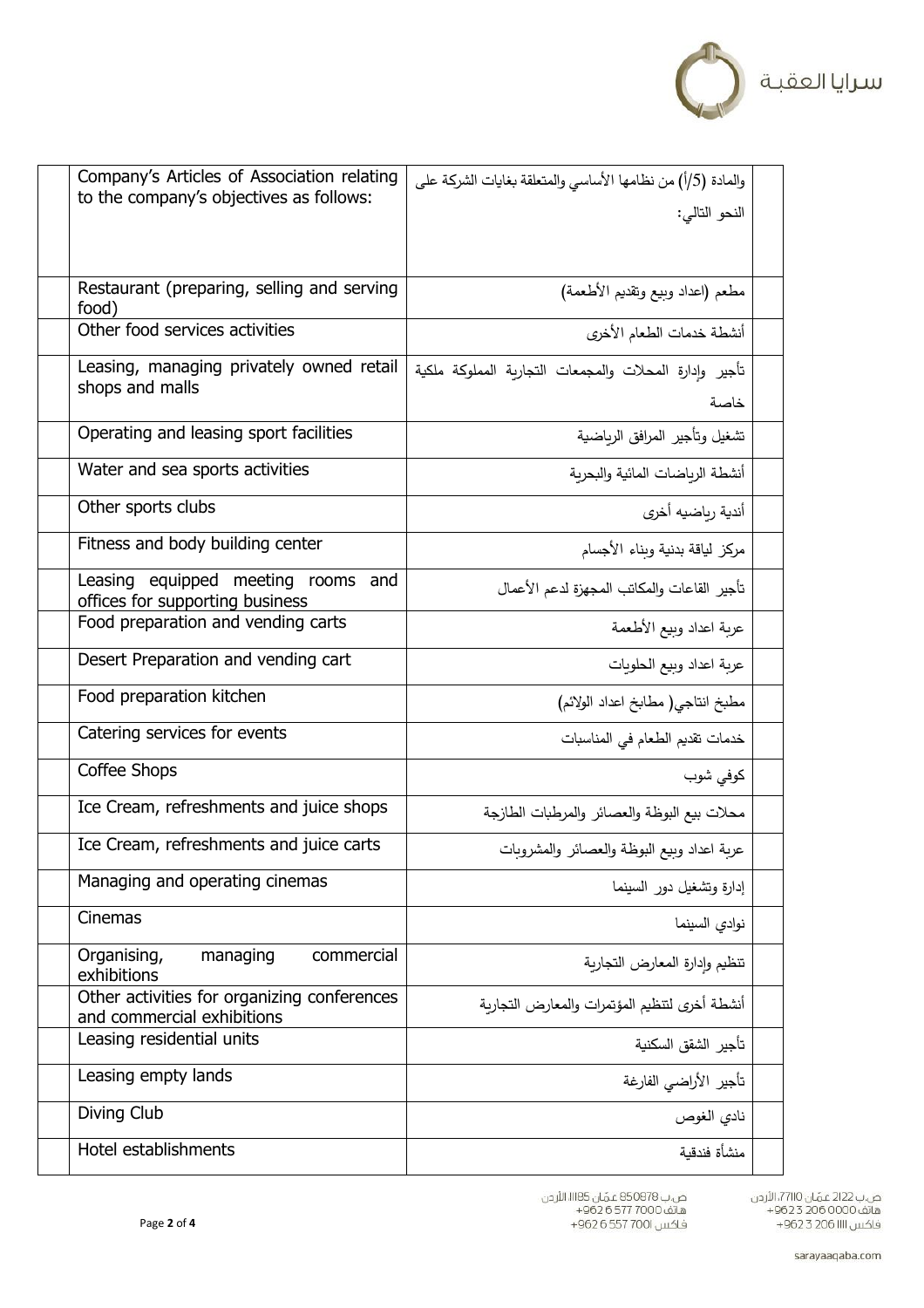

| Company's Articles of Association relating<br>to the company's objectives as follows: | والمادة (5/أ) من نظامها الأساسي والمتعلقة بغايات الشركة على    |  |
|---------------------------------------------------------------------------------------|----------------------------------------------------------------|--|
|                                                                                       | النحو التالي:                                                  |  |
|                                                                                       |                                                                |  |
| Restaurant (preparing, selling and serving<br>food)                                   | مطعم (اعداد وبيع وتقديم الأطعمة)                               |  |
| Other food services activities                                                        | أنشطة خدمات الطعام الأخرى                                      |  |
| Leasing, managing privately owned retail<br>shops and malls                           | تأجير وإدارة المحلات والمجمعات التجارية المملوكة ملكية<br>خاصة |  |
| Operating and leasing sport facilities                                                | تشغيل وتأجير المرافق الرباضية                                  |  |
| Water and sea sports activities                                                       | أنشطة الرباضات المائية والبحربة                                |  |
| Other sports clubs                                                                    | أندية رباضيه أخرى                                              |  |
| Fitness and body building center                                                      | مركز لياقة بدنية وبناء الأجسام                                 |  |
| Leasing equipped meeting rooms and<br>offices for supporting business                 | تأجير القاعات والمكاتب المجهزة لدعم الأعمال                    |  |
| Food preparation and vending carts                                                    | عربة اعداد وبيع الأطعمة                                        |  |
| Desert Preparation and vending cart                                                   | عربة اعداد وبيع الحلويات                                       |  |
| Food preparation kitchen                                                              | مطبخ انتاجي( مطابخ اعداد الولائم)                              |  |
| Catering services for events                                                          | خدمات تقديم الطعام في المناسبات                                |  |
| Coffee Shops                                                                          | كوفي شوب                                                       |  |
| Ice Cream, refreshments and juice shops                                               | محلات بيع البوظة والعصائر والمرطبات الطازجة                    |  |
| Ice Cream, refreshments and juice carts                                               | عربة اعداد وبيع البوظة والعصائر والمشروبات                     |  |
| Managing and operating cinemas                                                        | إدارة وتشغيل دور السينما                                       |  |
| Cinemas                                                                               | نوادى السينما                                                  |  |
| Organising,<br>managing<br>commercial<br>exhibitions                                  | تنظيم وإدارة المعارض التجارية                                  |  |
| Other activities for organizing conferences<br>and commercial exhibitions             | أنشطة أخرى لتنظيم المؤتمرات والمعارض التجاربة                  |  |
| Leasing residential units                                                             | تأجير الشقق السكنية                                            |  |
| Leasing empty lands                                                                   | تأجير الأراضي الفارغة                                          |  |
| Diving Club                                                                           | نادي الغوص                                                     |  |
| Hotel establishments                                                                  | منشأة فندقية                                                   |  |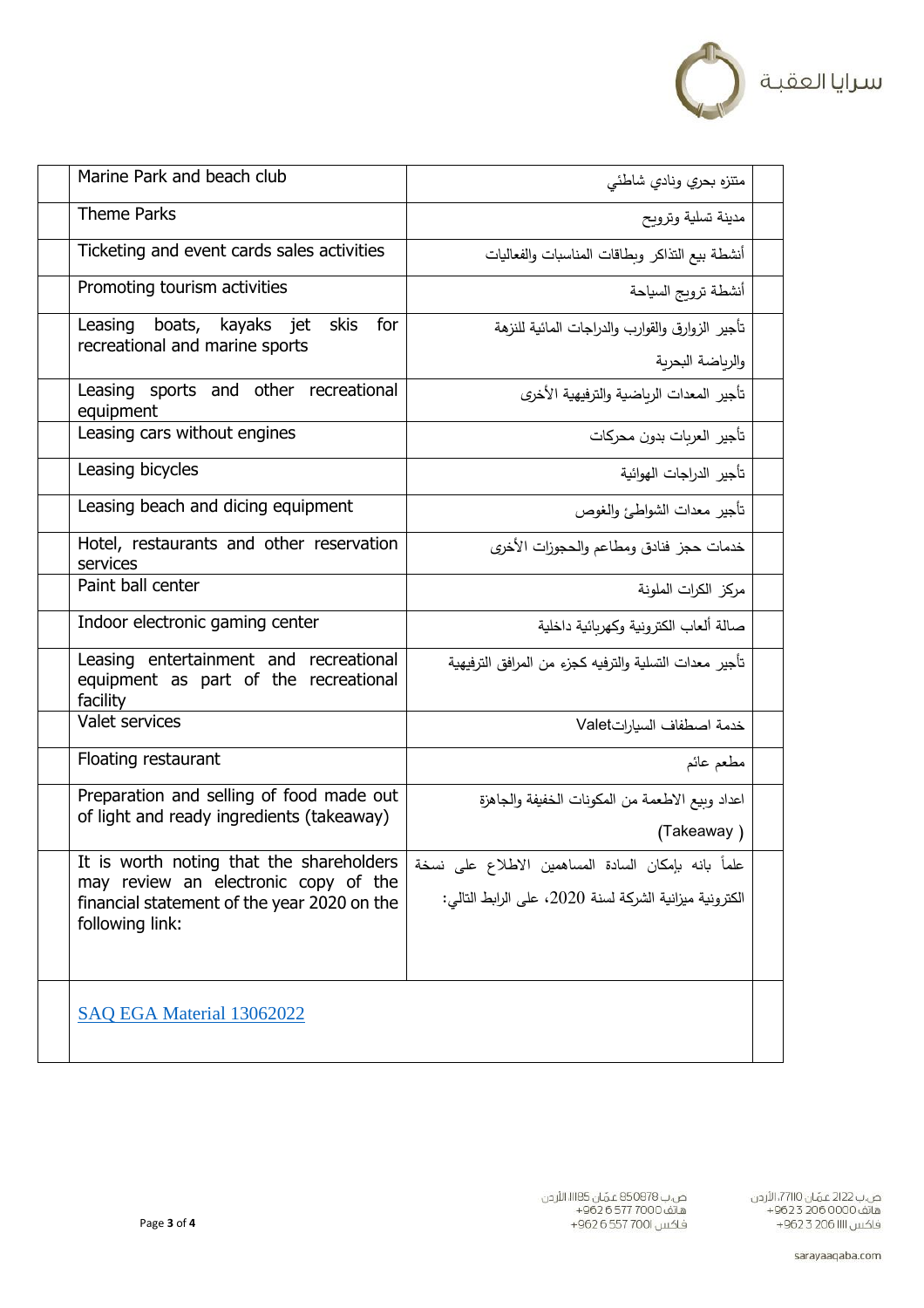

| Marine Park and beach club                                                                                                                         | متتزه بحري ونادي شاطئي                                                                                        |
|----------------------------------------------------------------------------------------------------------------------------------------------------|---------------------------------------------------------------------------------------------------------------|
| <b>Theme Parks</b>                                                                                                                                 | مدينة تسلية وترويح                                                                                            |
| Ticketing and event cards sales activities                                                                                                         | أنشطة بيع التذاكر وبطاقات المناسبات والفعاليات                                                                |
| Promoting tourism activities                                                                                                                       | أنشطة تروبج السياحة                                                                                           |
| for<br>Leasing boats, kayaks jet<br>skis<br>recreational and marine sports                                                                         | تأجير الزوارق والقوارب والدراجات المائية للنزهة                                                               |
| Leasing sports and other recreational<br>equipment                                                                                                 | والرباضة البحربة<br>تأجير المعدات الرباضية والترفيهية الأخرى                                                  |
| Leasing cars without engines                                                                                                                       | تأجير العربات بدون محركات                                                                                     |
| Leasing bicycles                                                                                                                                   | تأجير الدراجات الهوائية                                                                                       |
| Leasing beach and dicing equipment                                                                                                                 | تأجير معدات الشواطئ والغوص                                                                                    |
| Hotel, restaurants and other reservation<br>services                                                                                               | خدمات حجز فنادق ومطاعم والحجوزات الأخرى                                                                       |
| Paint ball center                                                                                                                                  | مركز الكرات الملونة                                                                                           |
| Indoor electronic gaming center                                                                                                                    | صالة ألعاب الكترونية وكهربائية داخلية                                                                         |
| Leasing entertainment and recreational<br>equipment as part of the recreational<br>facility                                                        | تأجير معدات التسلية والترفيه كجزء من المرافق الترفيهية                                                        |
| Valet services                                                                                                                                     | خدمة اصطفاف السياراتValet                                                                                     |
| Floating restaurant                                                                                                                                | مطعم عائم                                                                                                     |
| Preparation and selling of food made out<br>of light and ready ingredients (takeaway)                                                              | اعداد وبيع الاطعمة من المكونات الخفيفة والجاهزة<br>(Takeaway)                                                 |
| It is worth noting that the shareholders<br>may review an electronic copy of the<br>financial statement of the year 2020 on the<br>following link: | علماً بانه بإمكان السادة المساهمين الاطلاع على نسخة<br>الكترونية ميزانية الشركة لسنة 2020، على الرابط التالي: |
| SAQ EGA Material 13062022                                                                                                                          |                                                                                                               |